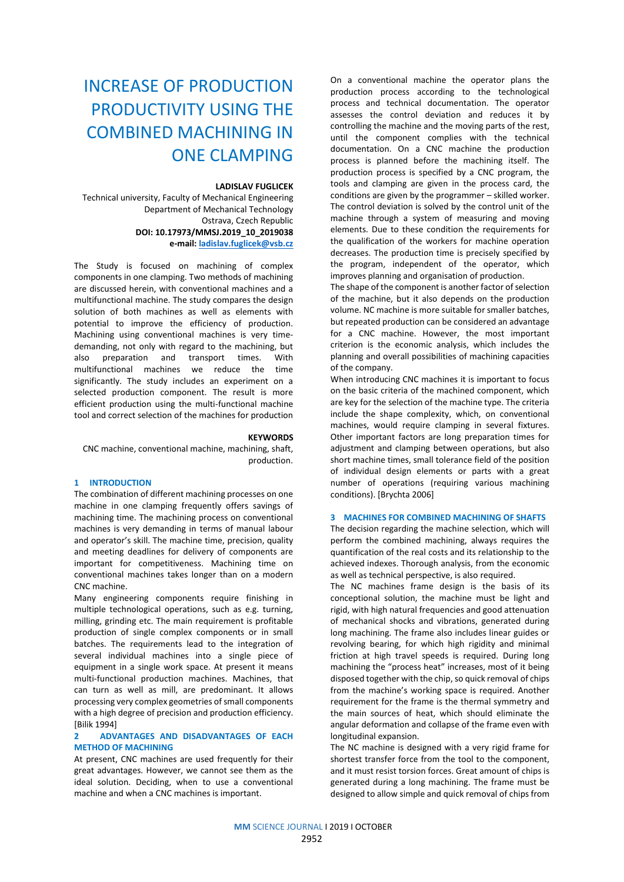# INCREASE OF PRODUCTION PRODUCTIVITY USING THE COMBINED MACHINING IN ONE CLAMPING

#### **LADISLAV FUGLICEK**

Technical university, Faculty of Mechanical Engineering Department of Mechanical Technology Ostrava, Czech Republic

**DOI: 10.17973/MMSJ.2019\_10\_2019038 e-mail: [ladislav.fuglicek@vsb.cz](mailto:ladislav.fuglicek@vsb.cz)**

The Study is focused on machining of complex components in one clamping. Two methods of machining are discussed herein, with conventional machines and a multifunctional machine. The study compares the design solution of both machines as well as elements with potential to improve the efficiency of production. Machining using conventional machines is very timedemanding, not only with regard to the machining, but also preparation and transport times. With multifunctional machines we reduce the time significantly. The study includes an experiment on a selected production component. The result is more efficient production using the multi-functional machine tool and correct selection of the machines for production

#### **KEYWORDS**

CNC machine, conventional machine, machining, shaft, production.

# **1 INTRODUCTION**

The combination of different machining processes on one machine in one clamping frequently offers savings of machining time. The machining process on conventional machines is very demanding in terms of manual labour and operator's skill. The machine time, precision, quality and meeting deadlines for delivery of components are important for competitiveness. Machining time on conventional machines takes longer than on a modern CNC machine.

Many engineering components require finishing in multiple technological operations, such as e.g. turning, milling, grinding etc. The main requirement is profitable production of single complex components or in small batches. The requirements lead to the integration of several individual machines into a single piece of equipment in a single work space. At present it means multi-functional production machines. Machines, that can turn as well as mill, are predominant. It allows processing very complex geometries of small components with a high degree of precision and production efficiency. [Bilik 1994]

# **2 ADVANTAGES AND DISADVANTAGES OF EACH METHOD OF MACHINING**

At present. CNC machines are used frequently for their great advantages. However, we cannot see them as the ideal solution. Deciding, when to use a conventional machine and when a CNC machines is important.

On a conventional machine the operator plans the production process according to the technological process and technical documentation. The operator assesses the control deviation and reduces it by controlling the machine and the moving parts of the rest, until the component complies with the technical documentation. On a CNC machine the production process is planned before the machining itself. The production process is specified by a CNC program, the tools and clamping are given in the process card, the conditions are given by the programmer – skilled worker. The control deviation is solved by the control unit of the machine through a system of measuring and moving elements. Due to these condition the requirements for the qualification of the workers for machine operation decreases. The production time is precisely specified by the program, independent of the operator, which improves planning and organisation of production.

The shape of the component is another factor of selection of the machine, but it also depends on the production volume. NC machine is more suitable for smaller batches, but repeated production can be considered an advantage for a CNC machine. However, the most important criterion is the economic analysis, which includes the planning and overall possibilities of machining capacities of the company.

When introducing CNC machines it is important to focus on the basic criteria of the machined component, which are key for the selection of the machine type. The criteria include the shape complexity, which, on conventional machines, would require clamping in several fixtures. Other important factors are long preparation times for adjustment and clamping between operations, but also short machine times, small tolerance field of the position of individual design elements or parts with a great number of operations (requiring various machining conditions). [Brychta 2006]

## **3 MACHINES FOR COMBINED MACHINING OF SHAFTS**

The decision regarding the machine selection, which will perform the combined machining, always requires the quantification of the real costs and its relationship to the achieved indexes. Thorough analysis, from the economic as well as technical perspective, is also required.

The NC machines frame design is the basis of its conceptional solution, the machine must be light and rigid, with high natural frequencies and good attenuation of mechanical shocks and vibrations, generated during long machining. The frame also includes linear guides or revolving bearing, for which high rigidity and minimal friction at high travel speeds is required. During long machining the "process heat" increases, most of it being disposed together with the chip, so quick removal of chips from the machine's working space is required. Another requirement for the frame is the thermal symmetry and the main sources of heat, which should eliminate the angular deformation and collapse of the frame even with longitudinal expansion.

The NC machine is designed with a very rigid frame for shortest transfer force from the tool to the component, and it must resist torsion forces. Great amount of chips is generated during a long machining. The frame must be designed to allow simple and quick removal of chips from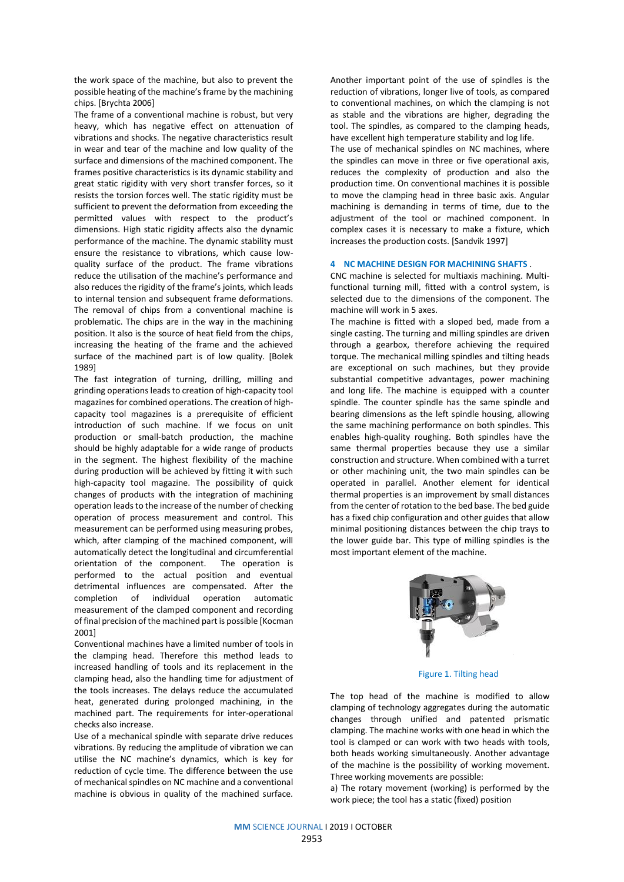the work space of the machine, but also to prevent the possible heating of the machine's frame by the machining chips. [Brychta 2006]

The frame of a conventional machine is robust, but very heavy, which has negative effect on attenuation of vibrations and shocks. The negative characteristics result in wear and tear of the machine and low quality of the surface and dimensions of the machined component. The frames positive characteristics is its dynamic stability and great static rigidity with very short transfer forces, so it resists the torsion forces well. The static rigidity must be sufficient to prevent the deformation from exceeding the permitted values with respect to the product's dimensions. High static rigidity affects also the dynamic performance of the machine. The dynamic stability must ensure the resistance to vibrations, which cause lowquality surface of the product. The frame vibrations reduce the utilisation of the machine's performance and also reduces the rigidity of the frame's joints, which leads to internal tension and subsequent frame deformations. The removal of chips from a conventional machine is problematic. The chips are in the way in the machining position. It also is the source of heat field from the chips, increasing the heating of the frame and the achieved surface of the machined part is of low quality. [Bolek 1989]

The fast integration of turning, drilling, milling and grinding operations leads to creation of high-capacity tool magazines for combined operations. The creation of highcapacity tool magazines is a prerequisite of efficient introduction of such machine. If we focus on unit production or small-batch production, the machine should be highly adaptable for a wide range of products in the segment. The highest flexibility of the machine during production will be achieved by fitting it with such high-capacity tool magazine. The possibility of quick changes of products with the integration of machining operation leads to the increase of the number of checking operation of process measurement and control. This measurement can be performed using measuring probes, which, after clamping of the machined component, will automatically detect the longitudinal and circumferential orientation of the component. The operation is performed to the actual position and eventual detrimental influences are compensated. After the completion of individual operation automatic measurement of the clamped component and recording of final precision of the machined part is possible [Kocman 2001]

Conventional machines have a limited number of tools in the clamping head. Therefore this method leads to increased handling of tools and its replacement in the clamping head, also the handling time for adjustment of the tools increases. The delays reduce the accumulated heat, generated during prolonged machining, in the machined part. The requirements for inter-operational checks also increase.

Use of a mechanical spindle with separate drive reduces vibrations. By reducing the amplitude of vibration we can utilise the NC machine's dynamics, which is key for reduction of cycle time. The difference between the use of mechanical spindles on NC machine and a conventional machine is obvious in quality of the machined surface.

Another important point of the use of spindles is the reduction of vibrations, longer live of tools, as compared to conventional machines, on which the clamping is not as stable and the vibrations are higher, degrading the tool. The spindles, as compared to the clamping heads, have excellent high temperature stability and log life. The use of mechanical spindles on NC machines, where the spindles can move in three or five operational axis, reduces the complexity of production and also the production time. On conventional machines it is possible to move the clamping head in three basic axis. Angular machining is demanding in terms of time, due to the adjustment of the tool or machined component. In complex cases it is necessary to make a fixture, which increases the production costs. [Sandvik 1997]

## **4 NC MACHINE DESIGN FOR MACHINING SHAFTS** .

CNC machine is selected for multiaxis machining. Multifunctional turning mill, fitted with a control system, is selected due to the dimensions of the component. The machine will work in 5 aves.

The machine is fitted with a sloped bed, made from a single casting. The turning and milling spindles are driven through a gearbox, therefore achieving the required torque. The mechanical milling spindles and tilting heads are exceptional on such machines, but they provide substantial competitive advantages, power machining and long life. The machine is equipped with a counter spindle. The counter spindle has the same spindle and bearing dimensions as the left spindle housing, allowing the same machining performance on both spindles. This enables high-quality roughing. Both spindles have the same thermal properties because they use a similar construction and structure. When combined with a turret or other machining unit, the two main spindles can be operated in parallel. Another element for identical thermal properties is an improvement by small distances from the center of rotation to the bed base. The bed guide has a fixed chip configuration and other guides that allow minimal positioning distances between the chip trays to the lower guide bar. This type of milling spindles is the most important element of the machine.



Figure 1. Tilting head

The top head of the machine is modified to allow clamping of technology aggregates during the automatic changes through unified and patented prismatic clamping. The machine works with one head in which the tool is clamped or can work with two heads with tools, both heads working simultaneously. Another advantage of the machine is the possibility of working movement. Three working movements are possible:

a) The rotary movement (working) is performed by the work piece; the tool has a static (fixed) position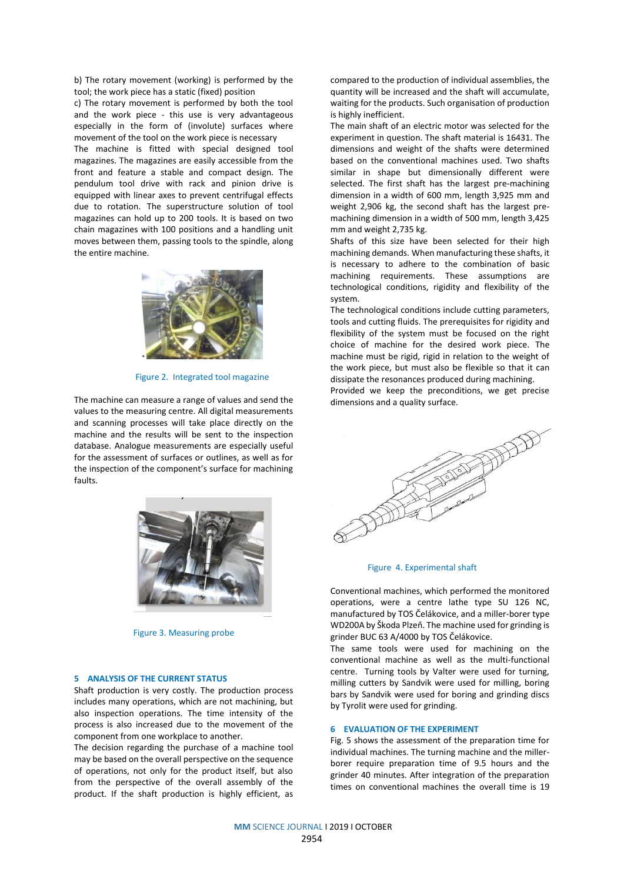b) The rotary movement (working) is performed by the tool; the work piece has a static (fixed) position

c) The rotary movement is performed by both the tool and the work piece - this use is very advantageous especially in the form of (involute) surfaces where movement of the tool on the work piece is necessary The machine is fitted with special designed tool magazines. The magazines are easily accessible from the front and feature a stable and compact design. The pendulum tool drive with rack and pinion drive is equipped with linear axes to prevent centrifugal effects due to rotation. The superstructure solution of tool magazines can hold up to 200 tools. It is based on two chain magazines with 100 positions and a handling unit moves between them, passing tools to the spindle, along the entire machine.



Figure 2. Integrated tool magazine

The machine can measure a range of values and send the values to the measuring centre. All digital measurements and scanning processes will take place directly on the machine and the results will be sent to the inspection database. Analogue measurements are especially useful for the assessment of surfaces or outlines, as well as for the inspection of the component's surface for machining faults.



Figure 3. Measuring probe

#### **5 ANALYSIS OF THE CURRENT STATUS**

Shaft production is very costly. The production process includes many operations, which are not machining, but also inspection operations. The time intensity of the process is also increased due to the movement of the component from one workplace to another.

The decision regarding the purchase of a machine tool may be based on the overall perspective on the sequence of operations, not only for the product itself, but also from the perspective of the overall assembly of the product. If the shaft production is highly efficient, as

compared to the production of individual assemblies, the quantity will be increased and the shaft will accumulate, waiting for the products. Such organisation of production is highly inefficient.

The main shaft of an electric motor was selected for the experiment in question. The shaft material is 16431. The dimensions and weight of the shafts were determined based on the conventional machines used. Two shafts similar in shape but dimensionally different were selected. The first shaft has the largest pre-machining dimension in a width of 600 mm, length 3,925 mm and weight 2,906 kg, the second shaft has the largest premachining dimension in a width of 500 mm, length 3,425 mm and weight 2,735 kg.

Shafts of this size have been selected for their high machining demands. When manufacturing these shafts, it is necessary to adhere to the combination of basic machining requirements. These assumptions are technological conditions, rigidity and flexibility of the system.

The technological conditions include cutting parameters, tools and cutting fluids. The prerequisites for rigidity and flexibility of the system must be focused on the right choice of machine for the desired work piece. The machine must be rigid, rigid in relation to the weight of the work piece, but must also be flexible so that it can dissipate the resonances produced during machining.

Provided we keep the preconditions, we get precise dimensions and a quality surface.



#### Figure 4. Experimental shaft

Conventional machines, which performed the monitored operations, were a centre lathe type SU 126 NC, manufactured by TOS Čelákovice, and a miller-borer type WD200A by Škoda Plzeň. The machine used for grinding is grinder BUC 63 A/4000 by TOS Čelákovice.

The same tools were used for machining on the conventional machine as well as the multi-functional centre. Turning tools by Valter were used for turning, milling cutters by Sandvik were used for milling, boring bars by Sandvik were used for boring and grinding discs by Tyrolit were used for grinding.

# **6 EVALUATION OF THE EXPERIMENT**

Fig. 5 shows the assessment of the preparation time for individual machines. The turning machine and the millerborer require preparation time of 9.5 hours and the grinder 40 minutes. After integration of the preparation times on conventional machines the overall time is 19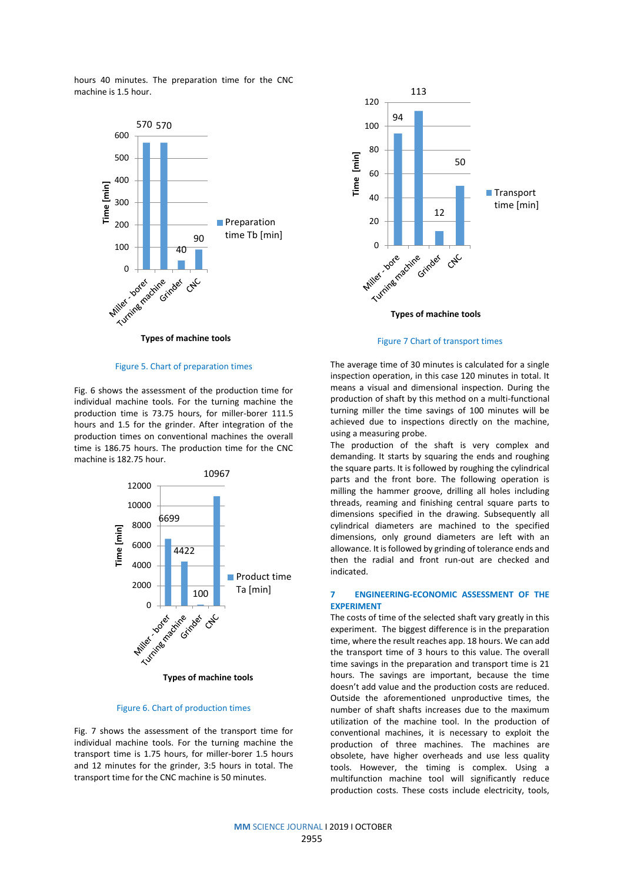hours 40 minutes. The preparation time for the CNC machine is 1.5 hour.



Figure 5. Chart of preparation times

Fig. 6 shows the assessment of the production time for individual machine tools. For the turning machine the production time is 73.75 hours, for miller-borer 111.5 hours and 1.5 for the grinder. After integration of the production times on conventional machines the overall time is 186.75 hours. The production time for the CNC machine is 182.75 hour.



## Figure 6. Chart of production times

Fig. 7 shows the assessment of the transport time for individual machine tools. For the turning machine the transport time is 1.75 hours, for miller-borer 1.5 hours and 12 minutes for the grinder, 3:5 hours in total. The transport time for the CNC machine is 50 minutes.



Figure 7 Chart of transport times

The average time of 30 minutes is calculated for a single inspection operation, in this case 120 minutes in total. It means a visual and dimensional inspection. During the production of shaft by this method on a multi-functional turning miller the time savings of 100 minutes will be achieved due to inspections directly on the machine, using a measuring probe.

The production of the shaft is very complex and demanding. It starts by squaring the ends and roughing the square parts. It is followed by roughing the cylindrical parts and the front bore. The following operation is milling the hammer groove, drilling all holes including threads, reaming and finishing central square parts to dimensions specified in the drawing. Subsequently all cylindrical diameters are machined to the specified dimensions, only ground diameters are left with an allowance. It is followed by grinding of tolerance ends and then the radial and front run-out are checked and indicated.

# **7 ENGINEERING-ECONOMIC ASSESSMENT OF THE EXPERIMENT**

The costs of time of the selected shaft vary greatly in this experiment. The biggest difference is in the preparation time, where the result reaches app. 18 hours. We can add the transport time of 3 hours to this value. The overall time savings in the preparation and transport time is 21 hours. The savings are important, because the time doesn't add value and the production costs are reduced. Outside the aforementioned unproductive times, the number of shaft shafts increases due to the maximum utilization of the machine tool. In the production of conventional machines, it is necessary to exploit the production of three machines. The machines are obsolete, have higher overheads and use less quality tools. However, the timing is complex. Using a multifunction machine tool will significantly reduce production costs. These costs include electricity, tools,